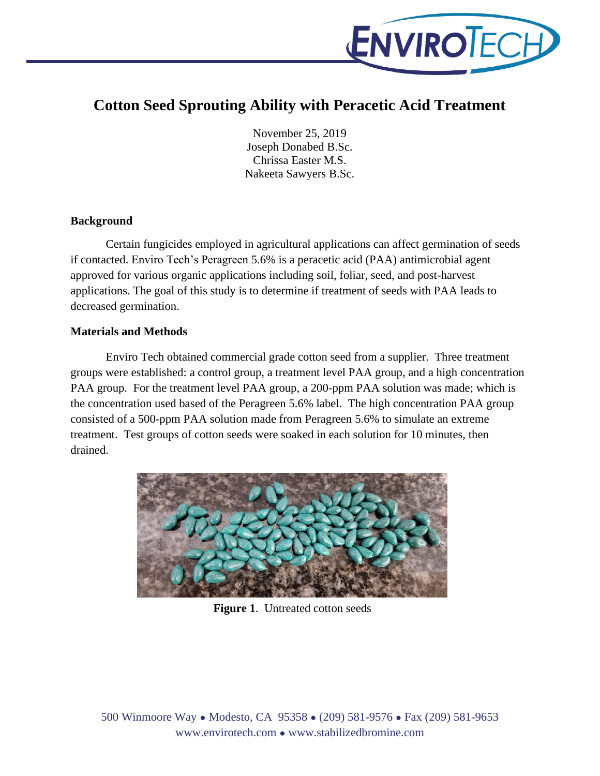

# **Cotton Seed Sprouting Ability with Peracetic Acid Treatment**

November 25, 2019 Joseph Donabed B.Sc. Chrissa Easter M.S. Nakeeta Sawyers B.Sc.

#### **Background**

Certain fungicides employed in agricultural applications can affect germination of seeds if contacted. Enviro Tech's Peragreen 5.6% is a peracetic acid (PAA) antimicrobial agent approved for various organic applications including soil, foliar, seed, and post-harvest applications. The goal of this study is to determine if treatment of seeds with PAA leads to decreased germination.

#### **Materials and Methods**

Enviro Tech obtained commercial grade cotton seed from a supplier. Three treatment groups were established: a control group, a treatment level PAA group, and a high concentration PAA group. For the treatment level PAA group, a 200-ppm PAA solution was made; which is the concentration used based of the Peragreen 5.6% label. The high concentration PAA group consisted of a 500-ppm PAA solution made from Peragreen 5.6% to simulate an extreme treatment. Test groups of cotton seeds were soaked in each solution for 10 minutes, then drained.



**Figure 1**. Untreated cotton seeds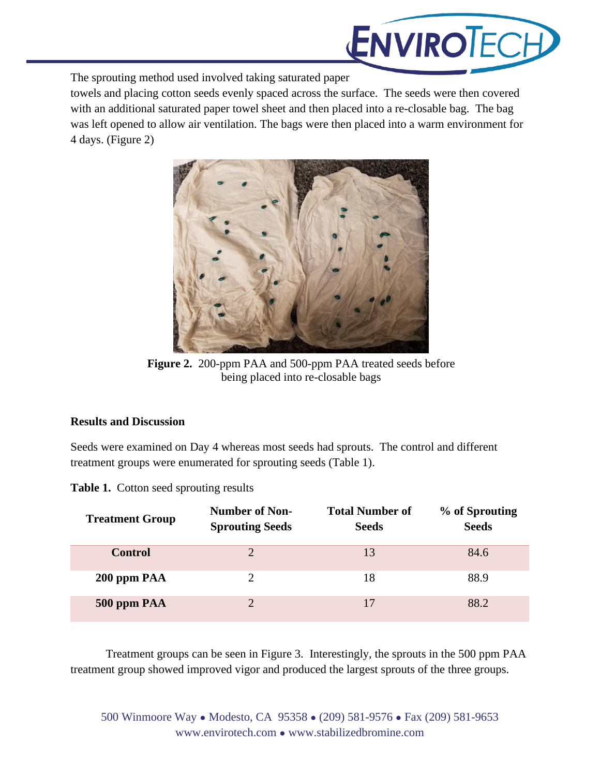

The sprouting method used involved taking saturated paper

towels and placing cotton seeds evenly spaced across the surface. The seeds were then covered with an additional saturated paper towel sheet and then placed into a re-closable bag. The bag was left opened to allow air ventilation. The bags were then placed into a warm environment for 4 days. (Figure 2)



**Figure 2.** 200-ppm PAA and 500-ppm PAA treated seeds before being placed into re-closable bags

## **Results and Discussion**

Seeds were examined on Day 4 whereas most seeds had sprouts. The control and different treatment groups were enumerated for sprouting seeds (Table 1).

|  |  |  | Table 1. Cotton seed sprouting results |  |
|--|--|--|----------------------------------------|--|
|--|--|--|----------------------------------------|--|

| <b>Treatment Group</b> | Number of Non-<br><b>Sprouting Seeds</b> | <b>Total Number of</b><br><b>Seeds</b> | % of Sprouting<br><b>Seeds</b> |
|------------------------|------------------------------------------|----------------------------------------|--------------------------------|
| <b>Control</b>         | $\mathcal{D}$                            | 13                                     | 84.6                           |
| 200 ppm PAA            | າ                                        | 18                                     | 88.9                           |
| 500 ppm PAA            | 7                                        | 17                                     | 88.2                           |

Treatment groups can be seen in Figure 3. Interestingly, the sprouts in the 500 ppm PAA treatment group showed improved vigor and produced the largest sprouts of the three groups.

500 Winmoore Way ● Modesto, CA 95358 ● (209) 581-9576 ● Fax (209) 581-9653 www.envirotech.com ● www.stabilizedbromine.com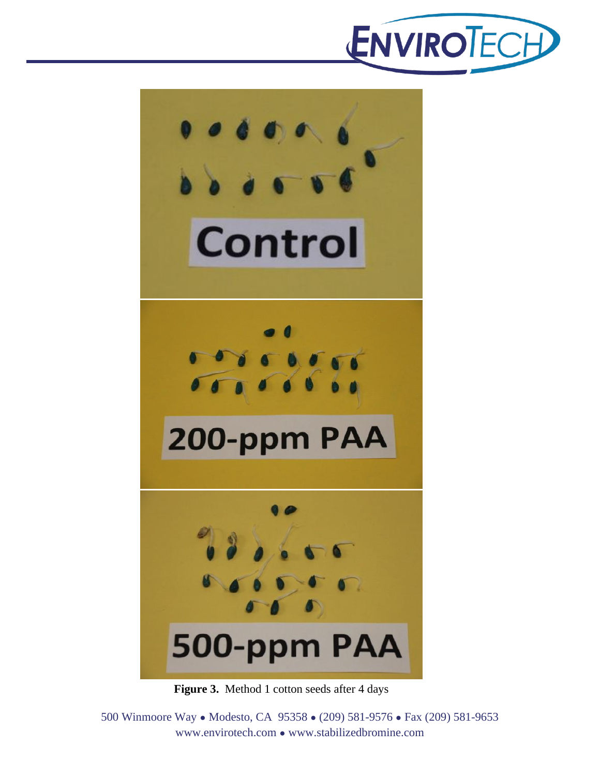



**Figure 3.** Method 1 cotton seeds after 4 days

500 Winmoore Way ● Modesto, CA 95358 ● (209) 581-9576 ● Fax (209) 581-9653 www.envirotech.com ● www.stabilizedbromine.com